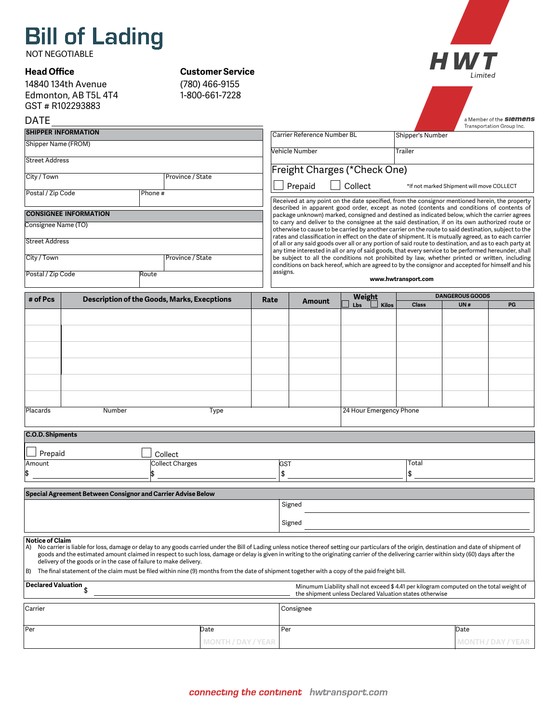# **Bill of Lading**

NOT NEGOTIABLE

# **Head Office**

14840 134th Avenue Edmonton, AB T5L 4T4 GST # R102293883

# **Customer Service**



|         | GST # R10229388 |
|---------|-----------------|
| - - - - |                 |

(780) 466-9155 1-800-661-7228

| <b>DATE</b>                        |                                                                   |         |                                                                                                                                                                                                                                                                                                                                                                                                                                                                                                                                              |                           |                                                                                                                                                                                                                                                                                                                                                                                                                                                                                                                             |                                                                                                                                                   |              |                               | a Member of the <b>SIEMENS</b> |  |  |
|------------------------------------|-------------------------------------------------------------------|---------|----------------------------------------------------------------------------------------------------------------------------------------------------------------------------------------------------------------------------------------------------------------------------------------------------------------------------------------------------------------------------------------------------------------------------------------------------------------------------------------------------------------------------------------------|---------------------------|-----------------------------------------------------------------------------------------------------------------------------------------------------------------------------------------------------------------------------------------------------------------------------------------------------------------------------------------------------------------------------------------------------------------------------------------------------------------------------------------------------------------------------|---------------------------------------------------------------------------------------------------------------------------------------------------|--------------|-------------------------------|--------------------------------|--|--|
| <b>SHIPPER INFORMATION</b>         |                                                                   |         |                                                                                                                                                                                                                                                                                                                                                                                                                                                                                                                                              |                           | Transportation Group Inc.<br>Carrier Reference Number BL<br>Shipper's Number                                                                                                                                                                                                                                                                                                                                                                                                                                                |                                                                                                                                                   |              |                               |                                |  |  |
| Shipper Name (FROM)                |                                                                   |         |                                                                                                                                                                                                                                                                                                                                                                                                                                                                                                                                              |                           |                                                                                                                                                                                                                                                                                                                                                                                                                                                                                                                             |                                                                                                                                                   |              |                               |                                |  |  |
| <b>Street Address</b>              |                                                                   |         |                                                                                                                                                                                                                                                                                                                                                                                                                                                                                                                                              | Vehicle Number<br>Trailer |                                                                                                                                                                                                                                                                                                                                                                                                                                                                                                                             |                                                                                                                                                   |              |                               |                                |  |  |
| City / Town                        |                                                                   |         | Province / State                                                                                                                                                                                                                                                                                                                                                                                                                                                                                                                             |                           | Freight Charges (*Check One)                                                                                                                                                                                                                                                                                                                                                                                                                                                                                                |                                                                                                                                                   |              |                               |                                |  |  |
|                                    |                                                                   |         |                                                                                                                                                                                                                                                                                                                                                                                                                                                                                                                                              |                           | Collect<br>Prepaid<br>*If not marked Shipment will move COLLECT                                                                                                                                                                                                                                                                                                                                                                                                                                                             |                                                                                                                                                   |              |                               |                                |  |  |
| Postal / Zip Code                  |                                                                   | Phone # |                                                                                                                                                                                                                                                                                                                                                                                                                                                                                                                                              |                           | Received at any point on the date specified, from the consignor mentioned herein, the property                                                                                                                                                                                                                                                                                                                                                                                                                              |                                                                                                                                                   |              |                               |                                |  |  |
|                                    | <b>CONSIGNEE INFORMATION</b>                                      |         |                                                                                                                                                                                                                                                                                                                                                                                                                                                                                                                                              |                           | described in apparent good order, except as noted (contents and conditions of contents of                                                                                                                                                                                                                                                                                                                                                                                                                                   |                                                                                                                                                   |              |                               |                                |  |  |
| Consignee Name (TO)                |                                                                   |         |                                                                                                                                                                                                                                                                                                                                                                                                                                                                                                                                              |                           | package unknown) marked, consigned and destined as indicated below, which the carrier agrees<br>to carry and deliver to the consignee at the said destination, if on its own authorized route or<br>otherwise to cause to be carried by another carrier on the route to said destination, subject to the<br>rates and classification in effect on the date of shipment. It is mutually agreed, as to each carrier<br>of all or any said goods over all or any portion of said route to destination, and as to each party at |                                                                                                                                                   |              |                               |                                |  |  |
| <b>Street Address</b>              |                                                                   |         |                                                                                                                                                                                                                                                                                                                                                                                                                                                                                                                                              |                           |                                                                                                                                                                                                                                                                                                                                                                                                                                                                                                                             |                                                                                                                                                   |              |                               |                                |  |  |
|                                    |                                                                   |         |                                                                                                                                                                                                                                                                                                                                                                                                                                                                                                                                              |                           | any time interested in all or any of said goods, that every service to be performed hereunder, shall                                                                                                                                                                                                                                                                                                                                                                                                                        |                                                                                                                                                   |              |                               |                                |  |  |
| City / Town                        |                                                                   |         | Province / State                                                                                                                                                                                                                                                                                                                                                                                                                                                                                                                             |                           | be subject to all the conditions not prohibited by law, whether printed or written, including<br>conditions on back hereof, which are agreed to by the consignor and accepted for himself and his                                                                                                                                                                                                                                                                                                                           |                                                                                                                                                   |              |                               |                                |  |  |
| Postal / Zip Code                  |                                                                   | Route   |                                                                                                                                                                                                                                                                                                                                                                                                                                                                                                                                              |                           | assigns.<br>www.hwtransport.com                                                                                                                                                                                                                                                                                                                                                                                                                                                                                             |                                                                                                                                                   |              |                               |                                |  |  |
|                                    |                                                                   |         |                                                                                                                                                                                                                                                                                                                                                                                                                                                                                                                                              |                           |                                                                                                                                                                                                                                                                                                                                                                                                                                                                                                                             |                                                                                                                                                   |              |                               |                                |  |  |
| # of Pcs                           |                                                                   |         | <b>Description of the Goods, Marks, Execptions</b>                                                                                                                                                                                                                                                                                                                                                                                                                                                                                           | Rate                      | <b>Amount</b>                                                                                                                                                                                                                                                                                                                                                                                                                                                                                                               | Weight<br><b>Lbs</b><br><b>Kilos</b>                                                                                                              | <b>Class</b> | <b>DANGEROUS GOODS</b><br>UN# | PG                             |  |  |
|                                    |                                                                   |         |                                                                                                                                                                                                                                                                                                                                                                                                                                                                                                                                              |                           |                                                                                                                                                                                                                                                                                                                                                                                                                                                                                                                             |                                                                                                                                                   |              |                               |                                |  |  |
|                                    |                                                                   |         |                                                                                                                                                                                                                                                                                                                                                                                                                                                                                                                                              |                           |                                                                                                                                                                                                                                                                                                                                                                                                                                                                                                                             |                                                                                                                                                   |              |                               |                                |  |  |
|                                    |                                                                   |         |                                                                                                                                                                                                                                                                                                                                                                                                                                                                                                                                              |                           |                                                                                                                                                                                                                                                                                                                                                                                                                                                                                                                             |                                                                                                                                                   |              |                               |                                |  |  |
|                                    |                                                                   |         |                                                                                                                                                                                                                                                                                                                                                                                                                                                                                                                                              |                           |                                                                                                                                                                                                                                                                                                                                                                                                                                                                                                                             |                                                                                                                                                   |              |                               |                                |  |  |
|                                    |                                                                   |         |                                                                                                                                                                                                                                                                                                                                                                                                                                                                                                                                              |                           |                                                                                                                                                                                                                                                                                                                                                                                                                                                                                                                             |                                                                                                                                                   |              |                               |                                |  |  |
|                                    |                                                                   |         |                                                                                                                                                                                                                                                                                                                                                                                                                                                                                                                                              |                           |                                                                                                                                                                                                                                                                                                                                                                                                                                                                                                                             |                                                                                                                                                   |              |                               |                                |  |  |
|                                    |                                                                   |         |                                                                                                                                                                                                                                                                                                                                                                                                                                                                                                                                              |                           |                                                                                                                                                                                                                                                                                                                                                                                                                                                                                                                             |                                                                                                                                                   |              |                               |                                |  |  |
| Placards                           | Number                                                            |         | Type                                                                                                                                                                                                                                                                                                                                                                                                                                                                                                                                         |                           |                                                                                                                                                                                                                                                                                                                                                                                                                                                                                                                             | 24 Hour Emergency Phone                                                                                                                           |              |                               |                                |  |  |
|                                    |                                                                   |         |                                                                                                                                                                                                                                                                                                                                                                                                                                                                                                                                              |                           |                                                                                                                                                                                                                                                                                                                                                                                                                                                                                                                             |                                                                                                                                                   |              |                               |                                |  |  |
| <b>C.O.D. Shipments</b>            |                                                                   |         |                                                                                                                                                                                                                                                                                                                                                                                                                                                                                                                                              |                           |                                                                                                                                                                                                                                                                                                                                                                                                                                                                                                                             |                                                                                                                                                   |              |                               |                                |  |  |
| Prepaid                            |                                                                   |         | Collect                                                                                                                                                                                                                                                                                                                                                                                                                                                                                                                                      |                           |                                                                                                                                                                                                                                                                                                                                                                                                                                                                                                                             |                                                                                                                                                   |              |                               |                                |  |  |
| Amount                             |                                                                   |         | <b>Collect Charges</b>                                                                                                                                                                                                                                                                                                                                                                                                                                                                                                                       |                           | <b>GST</b>                                                                                                                                                                                                                                                                                                                                                                                                                                                                                                                  |                                                                                                                                                   | Total        |                               |                                |  |  |
|                                    |                                                                   |         |                                                                                                                                                                                                                                                                                                                                                                                                                                                                                                                                              |                           | \$                                                                                                                                                                                                                                                                                                                                                                                                                                                                                                                          |                                                                                                                                                   |              | \$                            |                                |  |  |
|                                    |                                                                   |         |                                                                                                                                                                                                                                                                                                                                                                                                                                                                                                                                              |                           |                                                                                                                                                                                                                                                                                                                                                                                                                                                                                                                             |                                                                                                                                                   |              |                               |                                |  |  |
|                                    | Special Agreement Between Consignor and Carrier Advise Below      |         |                                                                                                                                                                                                                                                                                                                                                                                                                                                                                                                                              |                           | Signed                                                                                                                                                                                                                                                                                                                                                                                                                                                                                                                      |                                                                                                                                                   |              |                               |                                |  |  |
|                                    |                                                                   |         |                                                                                                                                                                                                                                                                                                                                                                                                                                                                                                                                              |                           |                                                                                                                                                                                                                                                                                                                                                                                                                                                                                                                             |                                                                                                                                                   |              |                               |                                |  |  |
|                                    |                                                                   |         |                                                                                                                                                                                                                                                                                                                                                                                                                                                                                                                                              |                           | Signed                                                                                                                                                                                                                                                                                                                                                                                                                                                                                                                      |                                                                                                                                                   |              |                               |                                |  |  |
| <b>Notice of Claim</b><br>A)<br>B) | delivery of the goods or in the case of failure to make delivery. |         | No carrier is liable for loss, damage or delay to any goods carried under the Bill of Lading unless notice thereof setting our particulars of the origin, destination and date of shipment of<br>goods and the estimated amount claimed in respect to such loss, damage or delay is given in writing to the originating carrier of the delivering carrier within sixty (60) days after the<br>The final statement of the claim must be filed within nine (9) months from the date of shipment together with a copy of the paid freight bill. |                           |                                                                                                                                                                                                                                                                                                                                                                                                                                                                                                                             |                                                                                                                                                   |              |                               |                                |  |  |
| <b>Declared Valuation</b>          |                                                                   |         |                                                                                                                                                                                                                                                                                                                                                                                                                                                                                                                                              |                           |                                                                                                                                                                                                                                                                                                                                                                                                                                                                                                                             |                                                                                                                                                   |              |                               |                                |  |  |
|                                    | \$                                                                |         |                                                                                                                                                                                                                                                                                                                                                                                                                                                                                                                                              |                           |                                                                                                                                                                                                                                                                                                                                                                                                                                                                                                                             | Minumum Liability shall not exceed \$4.41 per kilogram computed on the total weight of<br>the shipment unless Declared Valuation states otherwise |              |                               |                                |  |  |
|                                    |                                                                   |         |                                                                                                                                                                                                                                                                                                                                                                                                                                                                                                                                              |                           |                                                                                                                                                                                                                                                                                                                                                                                                                                                                                                                             |                                                                                                                                                   |              |                               |                                |  |  |

| Carrier     |                    | Consignee |                    |  |  |
|-------------|--------------------|-----------|--------------------|--|--|
| <b>IPer</b> | Date               | l Per     | Date               |  |  |
|             | MONTH / DAY / YEAR |           | MONTH / DAY / YEAR |  |  |